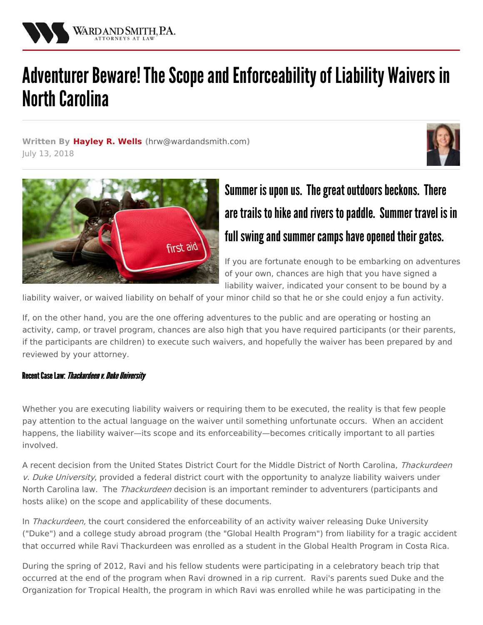

# Adventurer Beware! The Scope and Enforceability of Liability Waivers in **North Carolina**

**Written By [Hayley](/attorneys/hayley-wells) R. Wells (**[hrw@wardandsmith.com](mailto:hrw@wardandsmith.com)**)** July 13, 2018





# Summer is upon us. The great outdoors beckons. There are trails to hike and rivers to paddle. Summer travel is in full swing and summer camps have opened their gates.

If you are fortunate enough to be embarking on adventures of your own, chances are high that you have signed a liability waiver, indicated your consent to be bound by a

liability waiver, or waived liability on behalf of your minor child so that he or she could enjoy a fun activity.

If, on the other hand, you are the one offering adventures to the public and are operating or hosting an activity, camp, or travel program, chances are also high that you have required participants (or their parents, if the participants are children) to execute such waivers, and hopefully the waiver has been prepared by and reviewed by your attorney.

### Recent Case Law: Thackurdeen v. Duke University

Whether you are executing liability waivers or requiring them to be executed, the reality is that few people pay attention to the actual language on the waiver until something unfortunate occurs. When an accident happens, the liability waiver—its scope and its enforceability—becomes critically important to all parties involved.

A recent decision from the United States District Court for the Middle District of North Carolina, Thackurdeen v. Duke University, provided a federal district court with the opportunity to analyze liability waivers under North Carolina law. The Thackurdeen decision is an important reminder to adventurers (participants and hosts alike) on the scope and applicability of these documents.

In Thackurdeen, the court considered the enforceability of an activity waiver releasing Duke University ("Duke") and a college study abroad program (the "Global Health Program") from liability for a tragic accident that occurred while Ravi Thackurdeen was enrolled as a student in the Global Health Program in Costa Rica.

During the spring of 2012, Ravi and his fellow students were participating in a celebratory beach trip that occurred at the end of the program when Ravi drowned in a rip current. Ravi's parents sued Duke and the Organization for Tropical Health, the program in which Ravi was enrolled while he was participating in the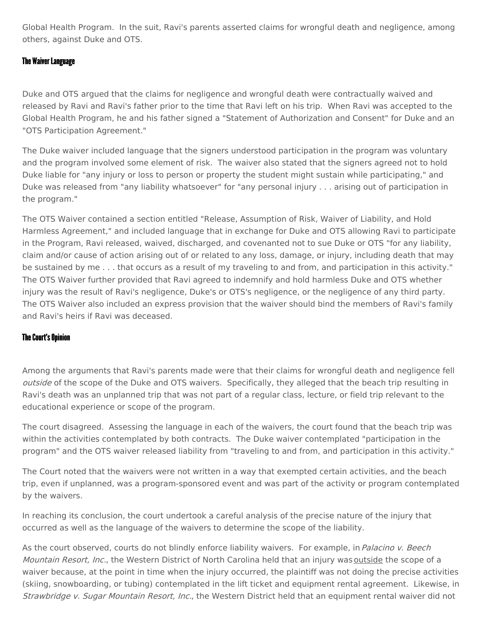Global Health Program. In the suit, Ravi's parents asserted claims for wrongful death and negligence, among others, against Duke and OTS.

# The Waiver Language

Duke and OTS argued that the claims for negligence and wrongful death were contractually waived and released by Ravi and Ravi's father prior to the time that Ravi left on his trip. When Ravi was accepted to the Global Health Program, he and his father signed a "Statement of Authorization and Consent" for Duke and an "OTS Participation Agreement."

The Duke waiver included language that the signers understood participation in the program was voluntary and the program involved some element of risk. The waiver also stated that the signers agreed not to hold Duke liable for "any injury or loss to person or property the student might sustain while participating," and Duke was released from "any liability whatsoever" for "any personal injury . . . arising out of participation in the program."

The OTS Waiver contained a section entitled "Release, Assumption of Risk, Waiver of Liability, and Hold Harmless Agreement," and included language that in exchange for Duke and OTS allowing Ravi to participate in the Program, Ravi released, waived, discharged, and covenanted not to sue Duke or OTS "for any liability, claim and/or cause of action arising out of or related to any loss, damage, or injury, including death that may be sustained by me . . . that occurs as a result of my traveling to and from, and participation in this activity." The OTS Waiver further provided that Ravi agreed to indemnify and hold harmless Duke and OTS whether injury was the result of Ravi's negligence, Duke's or OTS's negligence, or the negligence of any third party. The OTS Waiver also included an express provision that the waiver should bind the members of Ravi's family and Ravi's heirs if Ravi was deceased.

# The Court's Opinion

Among the arguments that Ravi's parents made were that their claims for wrongful death and negligence fell outside of the scope of the Duke and OTS waivers. Specifically, they alleged that the beach trip resulting in Ravi's death was an unplanned trip that was not part of a regular class, lecture, or field trip relevant to the educational experience or scope of the program.

The court disagreed. Assessing the language in each of the waivers, the court found that the beach trip was within the activities contemplated by both contracts. The Duke waiver contemplated "participation in the program" and the OTS waiver released liability from "traveling to and from, and participation in this activity."

The Court noted that the waivers were not written in a way that exempted certain activities, and the beach trip, even if unplanned, was a program-sponsored event and was part of the activity or program contemplated by the waivers.

In reaching its conclusion, the court undertook a careful analysis of the precise nature of the injury that occurred as well as the language of the waivers to determine the scope of the liability.

As the court observed, courts do not blindly enforce liability waivers. For example, in Palacino v. Beech Mountain Resort, Inc., the Western District of North Carolina held that an injury was outside the scope of a waiver because, at the point in time when the injury occurred, the plaintiff was not doing the precise activities (skiing, snowboarding, or tubing) contemplated in the lift ticket and equipment rental agreement. Likewise, in Strawbridge v. Sugar Mountain Resort, Inc., the Western District held that an equipment rental waiver did not